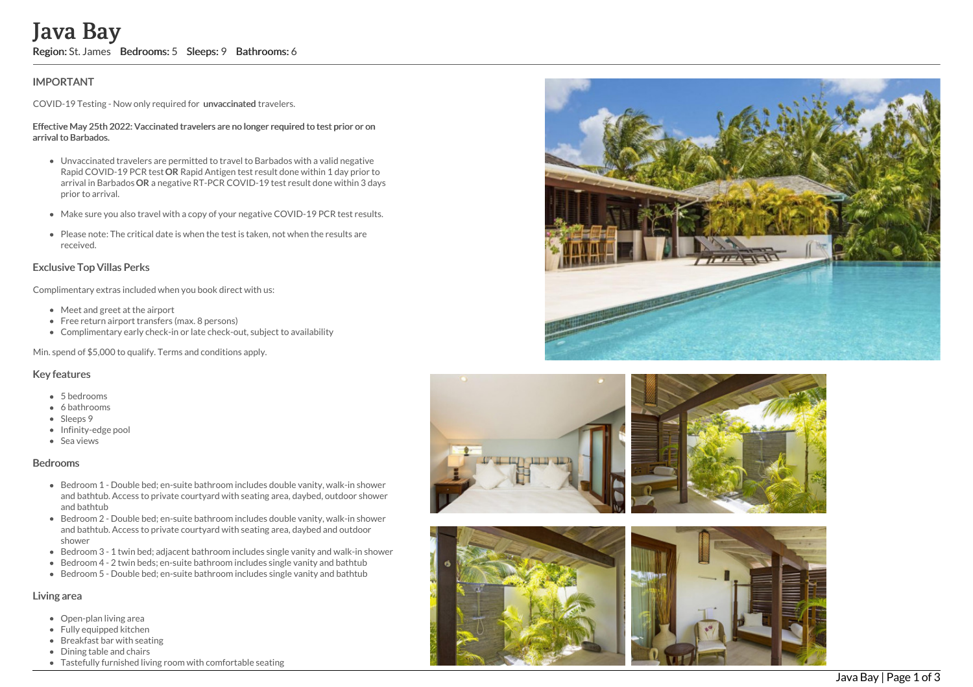# Java Bay

Region: St. James Bedrooms: 5 Sleeps: 9 Bathrooms: 6

# **IMPORTANT**

COVID-19 Testing - Now only required for unvaccinated travelers.

#### Effective May 25th 2022: Vaccinated travelers are no longer required to test prior or on arrival to Barbados.

- Unvaccinated travelers are permitted to travel to Barbados with a valid negative Rapid COVID-19 PCR test OR Rapid Antigen test result done within 1 day prior to arrival in Barbados OR a negative RT-PCR COVID-19 test result done within 3 days prior to arrival.
- Make sure you also travel with a copy of your negative COVID-19 PCR test results.
- Please note: The critical date is when the test is taken, not when the results are received.

## Exclusive Top Villas Perks

Complimentary extras included when you book direct with us:

- Meet and greet at the airport
- Free return airport transfers (max. 8 persons)
- Complimentary early check-in or late check-out, subject to availability

Min. spend of \$5,000 to qualify. Terms and conditions apply.

### Key features

- 5 bedrooms
- 6 bathrooms
- Sleeps 9
- Infinity-edge pool
- Sea views

#### Bedrooms

- Bedroom 1 Double bed; en-suite bathroom includes double vanity, walk-in shower and bathtub. Access to private courtyard with seating area, daybed, outdoor shower and bathtub
- Bedroom 2 Double bed; en-suite bathroom includes double vanity, walk-in shower and bathtub. Access to private courtyard with seating area, daybed and outdoor shower
- Bedroom 3 1 twin bed; adjacent bathroom includes single vanity and walk-in showe r
- Bedroom 4 2 twin beds; en-suite bathroom includes single vanity and bathtub
- Bedroom 5 Double bed; en-suite bathroom includes single vanity and bathtub

# Living area

- Open-plan living area
- Fully equipped kitchen
- Breakfast bar with seating
- Dining table and chairs
- Tastefully furnished living room with comfortable seating







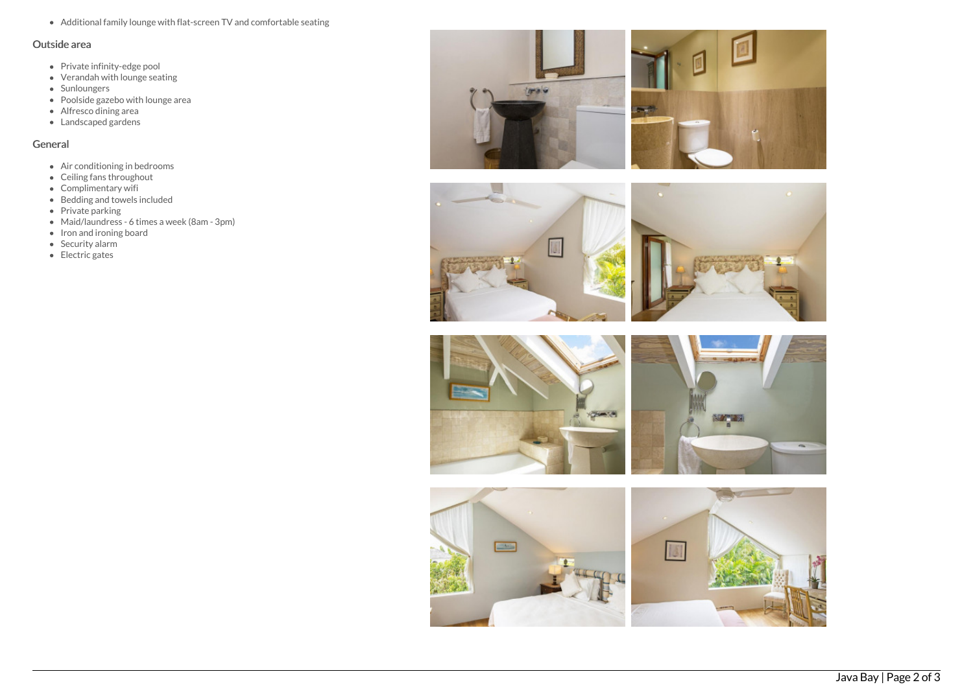Additional family lounge with flat-screen TV and comfortable seating

#### Outside area

- Private infinity-edge pool
- Verandah with lounge seating
- Sunloungers
- Poolside gazebo with lounge area
- Alfresco dining area
- Landscaped gardens

## General

- Air conditioning in bedrooms
- Ceiling fans throughout
- Complimentary wifi
- Bedding and towels included
- Private parking
- Maid/laundress 6 times a week (8am 3pm)
- Iron and ironing board
- $\bullet$  Security alarm
- Electric gates